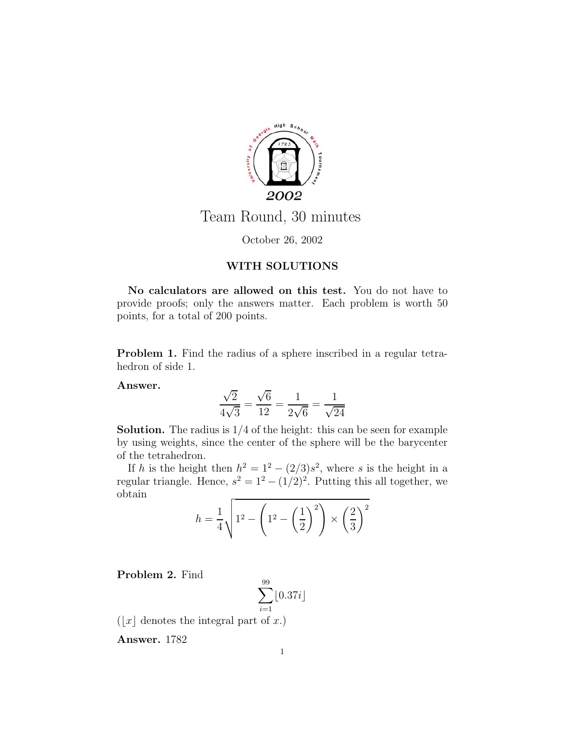

## Team Round, 30 minutes

October 26, 2002

## **WITH SOLUTIONS**

**No calculators are allowed on this test.** You do not have to provide proofs; only the answers matter. Each problem is worth 50 points, for a total of 200 points.

**Problem 1.** Find the radius of a sphere inscribed in a regular tetrahedron of side 1.

**Answer.**

$$
\frac{\sqrt{2}}{4\sqrt{3}} = \frac{\sqrt{6}}{12} = \frac{1}{2\sqrt{6}} = \frac{1}{\sqrt{24}}
$$

**Solution.** The radius is  $1/4$  of the height: this can be seen for example by using weights, since the center of the sphere will be the barycenter of the tetrahedron.

If h is the height then  $h^2 = 1^2 - (2/3)s^2$ , where s is the height in a regular triangle. Hence,  $s^2 = 1^2 - (1/2)^2$ . Putting this all together, we obtain

$$
h = \frac{1}{4} \sqrt{1^2 - \left(1^2 - \left(\frac{1}{2}\right)^2\right) \times \left(\frac{2}{3}\right)^2}
$$

**Problem 2.** Find

$$
\sum_{i=1}^{99} \lfloor 0.37i \rfloor
$$

 $\left( \left\lfloor x\right\rfloor$  denotes the integral part of  $x.)$ 

**Answer.** 1782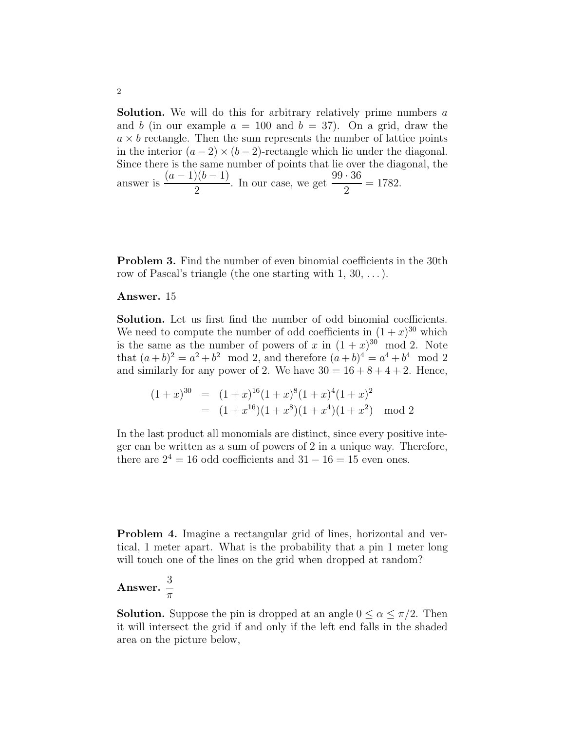**Solution.** We will do this for arbitrary relatively prime numbers a and b (in our example  $a = 100$  and  $b = 37$ ). On a grid, draw the  $a \times b$  rectangle. Then the sum represents the number of lattice points in the interior  $(a-2) \times (b-2)$ -rectangle which lie under the diagonal. Since there is the same number of points that lie over the diagonal, the answer is  $\frac{(a-1)(b-1)}{2}$ . In our case, we get  $\frac{99 \cdot 36}{2} = 1782$ .

**Problem 3.** Find the number of even binomial coefficients in the 30th row of Pascal's triangle (the one starting with  $1, 30, \ldots$ ).

## **Answer.** 15

**Solution.** Let us first find the number of odd binomial coefficients. We need to compute the number of odd coefficients in  $(1+x)^{30}$  which is the same as the number of powers of x in  $(1+x)^{30}$  mod 2. Note that  $(a + b)^2 = a^2 + b^2 \mod 2$ , and therefore  $(a + b)^4 = a^4 + b^4 \mod 2$ and similarly for any power of 2. We have  $30 = 16 + 8 + 4 + 2$ . Hence,

$$
(1+x)^{30} = (1+x)^{16}(1+x)^8(1+x)^4(1+x)^2
$$
  
=  $(1+x^{16})(1+x^8)(1+x^4)(1+x^2)$  mod 2

In the last product all monomials are distinct, since every positive integer can be written as a sum of powers of 2 in a unique way. Therefore, there are  $2^4 = 16$  odd coefficients and  $31 - 16 = 15$  even ones.

**Problem 4.** Imagine a rectangular grid of lines, horizontal and vertical, 1 meter apart. What is the probability that a pin 1 meter long will touch one of the lines on the grid when dropped at random?

Answer. 
$$
\frac{3}{\pi}
$$

**Solution.** Suppose the pin is dropped at an angle  $0 \le \alpha \le \pi/2$ . Then it will intersect the grid if and only if the left end falls in the shaded area on the picture below,